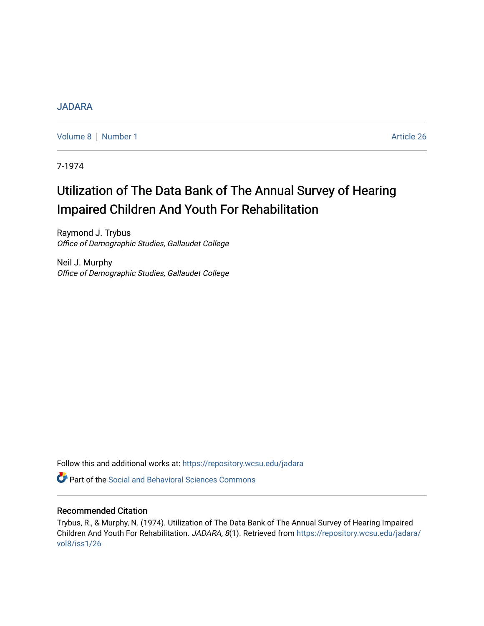# [JADARA](https://repository.wcsu.edu/jadara)

[Volume 8](https://repository.wcsu.edu/jadara/vol8) | [Number 1](https://repository.wcsu.edu/jadara/vol8/iss1) Article 26

7-1974

# Utilization of The Data Bank of The Annual Survey of Hearing Impaired Children And Youth For Rehabilitation

Raymond J. Trybus Office of Demographic Studies, Gallaudet College

Neil J. Murphy Office of Demographic Studies, Gallaudet College

Follow this and additional works at: [https://repository.wcsu.edu/jadara](https://repository.wcsu.edu/jadara?utm_source=repository.wcsu.edu%2Fjadara%2Fvol8%2Fiss1%2F26&utm_medium=PDF&utm_campaign=PDFCoverPages)

**P** Part of the Social and Behavioral Sciences Commons

# Recommended Citation

Trybus, R., & Murphy, N. (1974). Utilization of The Data Bank of The Annual Survey of Hearing Impaired Children And Youth For Rehabilitation. JADARA, 8(1). Retrieved from [https://repository.wcsu.edu/jadara/](https://repository.wcsu.edu/jadara/vol8/iss1/26?utm_source=repository.wcsu.edu%2Fjadara%2Fvol8%2Fiss1%2F26&utm_medium=PDF&utm_campaign=PDFCoverPages) [vol8/iss1/26](https://repository.wcsu.edu/jadara/vol8/iss1/26?utm_source=repository.wcsu.edu%2Fjadara%2Fvol8%2Fiss1%2F26&utm_medium=PDF&utm_campaign=PDFCoverPages)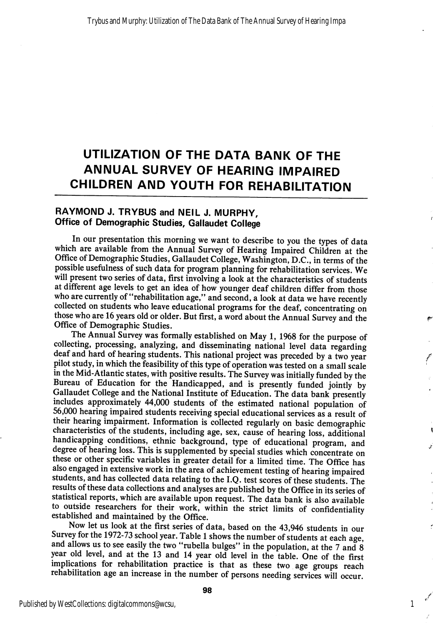# UTILIZATION OF THE DATA BANK OF THE ANNUAL SURVEY OF HEARING IMPAIRED CHILDREN AND YOUTH FOR REHABILITATION

# RAYMOND J. TRYBUS and NEIL J. MURPHY, Office of Demographic Studies, Gallaudet College

In our presentation this morning we want to describe to you the types of data which are available from the Annual Survey of Hearing Impaired Children at the Office of Demographic Studies, Gallaudet College, Washington, D.C., in terms of the possible usefulness of such data for program planning for rehabilitation services. We will present two series of data, first involving a look at the characteristics of students at different age levels to get an idea of how younger deaf children differ from those who are currently of "rehabilitation age," and second, a look at data we have recently collected on students who leave educational programs for the deaf, concentrating on those who are 16 years old or older. But first, a word about the Annual Survey and the Office of Demographic Studies.

The Annual Survey was formally established on May 1, 1968 for the purpose of collecting, processing, analyzing, and disseminating national level data regarding deaf and hard of hearing students. This national project was preceded by a two year pilot study, in which the feasibility of this type of operation was tested on a small scale in the Mid-Atlantic states, with positive results. The Survey was initially funded by the Bureau of Education for the Handicapped, and is presently funded jointly by Gallaudet College and the National Institute of Education. The data bank presently includes approximately 44,000 students of the estimated national population of 56,000 hearing impaired students receiving special educational services as a result of their hearing impairment. Information is collected regularly on basic demographic characteristics of the students, including age, sex, cause of hearing loss, additional handicapping conditions, ethnic background, type of educational program, and degree of hearing loss. This is supplemented by special studies which concentrate on these or other specific variables in greater detail for a limited time. The Office has also engaged in extensive work in the area of achievement testing of hearing impaired students, and has collected data relating to the I.Q. test scores of these students. The results of these data collections and analyses are published by the Office in its series of statistical reports, which are available upon request. The data bank is also available to outside researchers for their work, within the strict limits of confidentiality established and maintained by the Office.

Now let us look at the first series of data, based on the 43,946 students in our Survey for the 1972-73 school year. Table 1 shows the number of students at each age, and allows us to see easily the two "rubella bulges" in the population, at the  $7$  and  $8$ year old level, and at the 13 and 14 year old level in the table. One of the first implications for rehabilitation practice is that as these two age groups reach rehabilitation age an increase in the number of persons needing services will occur.

1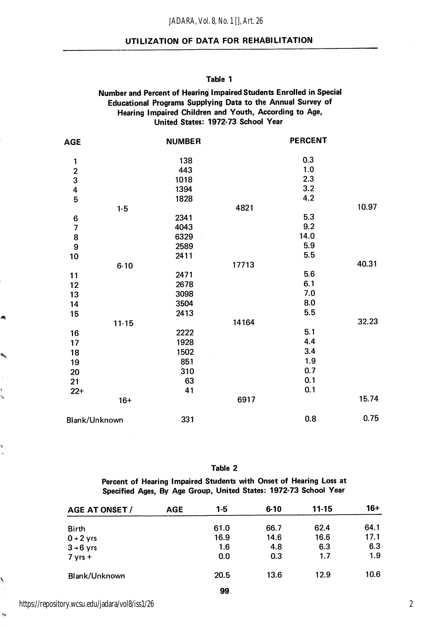#### *JADARA, Vol. 8, No. 1 [], Art. 26*

#### UTILIZATION OF DATA FOR REHABILITATION

#### Table 1

#### Number and Percent of Hearing Impaired Students Enrolled in Special Educational Programs Supplying Data to the Annual Survey of Hearing Impaired Children and Youth, According to Age, United States: 1972-73 School Year

| <b>AGE</b>               |           | <b>NUMBER</b> |       | <b>PERCENT</b> |       |
|--------------------------|-----------|---------------|-------|----------------|-------|
| 1                        |           | 138           |       | 0.3            |       |
|                          |           | 443           |       | 1.0            |       |
| $\frac{2}{3}$            |           | 1018          |       | 2.3            |       |
| 4                        |           | 1394          |       | 3.2            |       |
| 5                        |           | 1828          |       | 4.2            |       |
|                          | $1 - 5$   |               | 4821  |                | 10.97 |
| 6                        |           | 2341          |       | 5.3            |       |
| $\overline{\phantom{a}}$ |           | 4043          |       | 9.2            |       |
| 8                        |           | 6329          |       | 14.0           |       |
| 9                        |           | 2589          |       | 5.9            |       |
| 10                       |           | 2411          |       | 5.5            |       |
|                          | $6 - 10$  |               | 17713 |                | 40.31 |
| 11                       |           | 2471          |       | 5.6            |       |
| 12                       |           | 2678          |       | 6.1            |       |
| 13                       |           | 3098          |       | 7.0            |       |
| 14                       |           | 3504          |       | 8.0            |       |
| 15                       |           | 2413          |       | 5.5            |       |
|                          | $11 - 15$ |               | 14164 |                | 32.23 |
| 16                       |           | 2222          |       | 5.1            |       |
| 17                       |           | 1928          |       | 4.4            |       |
| 18                       |           | 1502          |       | 3.4            |       |
| 19                       |           | 851           |       | 1.9            |       |
| 20                       |           | 310           |       | 0.7            |       |
| 21                       |           | 63            |       | 0.1            |       |
| $22+$                    |           | 41            |       | 0.1            |       |
|                          | $16+$     |               | 6917  |                | 15.74 |
| Blank/Unknown            |           | 331           |       | 0.8            | 0.75  |
|                          |           |               |       |                |       |

Table 2

Percent of Hearing Impaired Students with Onset of Hearing Loss at Specified Ages, By Age Group, United States: 1972-73 School Year

| <b>AGE AT ONSET /</b> | <b>AGE</b> | $1-5$ | $6 - 10$ | $11 - 15$ | $16+$ |
|-----------------------|------------|-------|----------|-----------|-------|
| <b>Birth</b>          |            | 61.0  | 66.7     | 62.4      | 64.1  |
| $0 + 2$ yrs           |            | 16.9  | 14.6     | 16.6      | 17.1  |
| $3 \rightarrow 6$ yrs |            | 1.6   | 4.8      | 6.3       | 6.3   |
| $7 yrs +$             |            | 0.0   | 0.3      | 1.7       | 1.9   |
| Blank/Unknown         |            | 20.5  | 13.6     | 12.9      | 10.6  |
|                       |            | 99    |          |           |       |

https://repository.wcsu.edu/jadara/vol8/iss1/26

.

 $\hat{\mathbf{w}}_{\text{inj}}$ 

, ĺ,

b

Ñ

 $\tilde{\mathbf{y}}_0$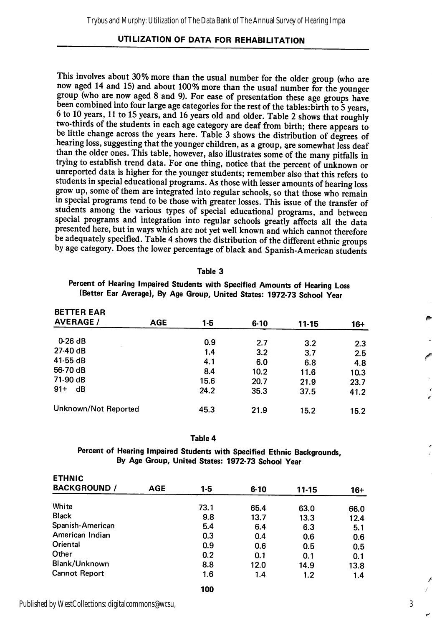This involves about 30% more than the usual number for the older group (who are now aged 14 and 15) and about 100% more than the usual number for the younger group (who are now aged 8 and 9). For ease of presentation these age groups have been combined into four large age categories for the rest of the tables: birth to 5 years, 6 to 10 years, 11 to 15 years, and 16 years old and older. Table 2 shows that roughly two-thirds of the students in each age category are deaf from birth; there appears to be little change across the years here. Table 3 shows the distribution of degrees of hearing loss, suggesting that the younger children, as a group, are somewhat less deaf than the older ones. This table, however, also illustrates some of the many pitfalls in trying to establish trend data. For one thing, notice that the percent of unknown or unreported data is higher for the younger students; remember also that this refers to students in special educational programs. As those with lesser amounts of hearing loss grow up, some of them are integrated into regular schools, so that those who remain in special programs tend to be those with greater losses. This issue of the transfer of students among the various types of special educational programs, and between special programs and integration into regular schools greatly affects all the data presented here, but in ways which are not yet well known and which cannot therefore be adequately specified. Table 4 shows the distribution of the different ethnic groups by age category. Does the lower percentage of black and Spanish-American students

#### Table 3

Percent of Hearing Impaired Students with Specified Amounts of Hearing Loss (Better Ear Average), By Age Group, United States: 1972-73 School Year

| <b>BETTER EAR</b><br><b>AVERAGE /</b> | AGE | $1-5$ | $6 - 10$ | $11 - 15$ | 16+  |
|---------------------------------------|-----|-------|----------|-----------|------|
|                                       |     |       |          |           |      |
| $0-26dB$                              |     | 0.9   | 2.7      | 3.2       | 2.3  |
| $27-40dB$                             |     | 1.4   | 3.2      | 3.7       | 2.5  |
| $41-55$ dB                            |     | 4.1   | 6.0      | 6.8       | 4.8  |
| 56-70 dB                              |     | 8.4   | 10.2     | 11.6      | 10.3 |
| 71-90 dB                              |     | 15.6  | 20.7     | 21.9      | 23.7 |
| $91 +$<br>dB                          |     | 24.2  | 35.3     | 37.5      | 41.2 |
| Unknown/Not Reported                  |     | 45.3  | 21.9     | 15.2      | 15.2 |

#### Table 4

Percent of Hearing Impaired Students with Specified Ethnic Backgrounds, By Age Group, United States: 1972-73 School Year

| <b>ETHNIC</b>        |            |       |          |           |       |
|----------------------|------------|-------|----------|-----------|-------|
| <b>BACKGROUND /</b>  | <b>AGE</b> | $1-5$ | $6 - 10$ | $11 - 15$ | $16+$ |
| White                |            | 73.1  | 65.4     | 63.0      | 66.0  |
| <b>Black</b>         |            | 9.8   | 13.7     | 13.3      | 12.4  |
| Spanish-American     |            | 5.4   | 6.4      | 6.3       | 5.1   |
| American Indian      |            | 0.3   | 0.4      | 0.6       | 0.6   |
| Oriental             |            | 0.9   | 0.6      | 0.5       | 0.5   |
| Other                |            | 0.2   | 0.1      | 0.1       | 0.1   |
| Blank/Unknown        |            | 8.8   | 12.0     | 14.9      | 13.8  |
| <b>Cannot Report</b> |            | 1.6   | 1.4      | 1.2       | 1.4   |
|                      |            | 100   |          |           |       |

Published by WestCollections: digitalcommons@wcsu,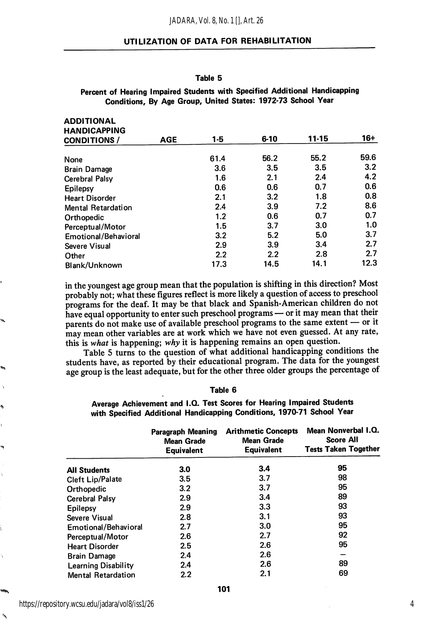#### Table 5

#### Percent of Hearing Impaired Students with Specified Additional Handicapping Conditions, By Age Group, United States: 1972-73 School Year

| <b>ADDITIONAL</b>         |            |         |          |       |       |
|---------------------------|------------|---------|----------|-------|-------|
| <b>HANDICAPPING</b>       |            |         |          |       |       |
| <b>CONDITIONS</b> /       | <b>AGE</b> | $1 - 5$ | $6 - 10$ | 11-15 | $16+$ |
| None                      |            | 61.4    | 56.2     | 55.2  | 59.6  |
| <b>Brain Damage</b>       |            | 3.6     | 3.5      | 3.5   | 3.2   |
| Cerebral Palsy            |            | 1.6     | 2.1      | 2.4   | 4.2   |
| Epilepsy                  |            | 0.6     | 0.6      | 0.7   | 0.6   |
| <b>Heart Disorder</b>     |            | 2.1     | 3.2      | 1.8   | 0.8   |
| <b>Mental Retardation</b> |            | 2.4     | 3.9      | 7.2   | 8.6   |
| Orthopedic                |            | 1.2     | 0.6      | 0.7   | 0.7   |
| Perceptual/Motor          |            | 1.5     | 3.7      | 3.0   | 1.0   |
| Emotional/Behavioral      |            | 3.2     | 5.2      | 5.0   | 3.7   |
| Severe Visual             |            | 2.9     | 3.9      | 3.4   | 2.7   |
| Other                     |            | 2.2     | 2.2      | 2.8   | 2.7   |
| Blank/Unknown             |            | 17.3    | 14.5     | 14.1  | 12.3  |

in the youngest age group mean that the population is shifting in this direction? Most probably not; what these figures reflect is more likely a question of access to preschool programs for the deaf. It may be that black and Spanish-American children do not have equal opportunity to enter such preschool programs — or it may mean that their parents do not make use of available preschool programs to the same extent — or it may mean other variables are at work which we have not even guessed. At any rate, this is what is happening; why it is happening remains an open question.

Table 5 turns to the question of what additional handicapping conditions the students have, as reported by their educational program. The data for the youngest age group is the least adequate, but for the other three older groups the percentage of

#### Table 6

Average Achievement and I.Q. Test Scores for Hearing Impaired Students with Specified Additional Handicapping Conditions, 1970-71 School Year

|                            | Paragraph Meaning<br><b>Mean Grade</b><br><b>Equivalent</b> | <b>Arithmetic Concepts</b><br><b>Mean Grade</b><br><b>Equivalent</b> | Mean Nonverbal I.Q.<br><b>Score All</b><br><b>Tests Taken Together</b> |
|----------------------------|-------------------------------------------------------------|----------------------------------------------------------------------|------------------------------------------------------------------------|
| <b>All Students</b>        | 3.0                                                         | 3.4                                                                  | 95                                                                     |
| <b>Cleft Lip/Palate</b>    | 3.5                                                         | 3.7                                                                  | 98                                                                     |
| Orthopedic                 | 3.2                                                         | 3.7                                                                  | 95                                                                     |
| <b>Cerebral Palsy</b>      | 2.9                                                         | 3.4                                                                  | 89                                                                     |
| Epilepsy                   | 2.9                                                         | 3.3                                                                  | 93                                                                     |
| Severe Visual              | 2.8                                                         | 3.1                                                                  | 93                                                                     |
| Emotional/Behavioral       | 2.7                                                         | 3.0                                                                  | 95                                                                     |
| Perceptual/Motor           | 2.6                                                         | 2.7                                                                  | 92                                                                     |
| <b>Heart Disorder</b>      | 2.5                                                         | 2.6                                                                  | 95                                                                     |
| <b>Brain Damage</b>        | 2.4                                                         | 2.6                                                                  |                                                                        |
| <b>Learning Disability</b> | 2.4                                                         | 2.6                                                                  | 89                                                                     |
| <b>Mental Retardation</b>  | 2.2                                                         | 2.1                                                                  | 69                                                                     |

۱'n,

41

 $\phi_{\mathbf{A}}$ 

ADDITIONAL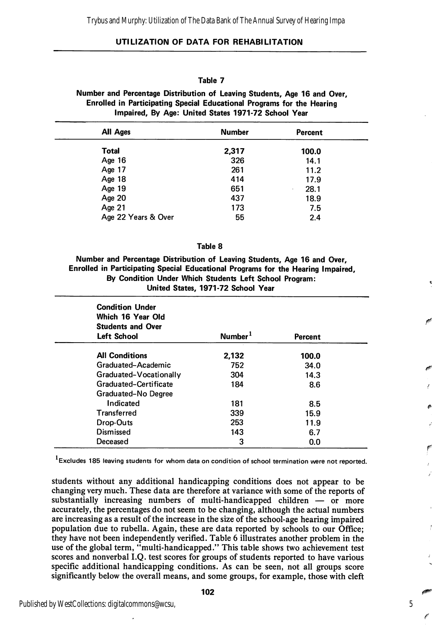#### Table 7

Number and Percentage Distribution of Leaving Students, Age 16 and Over, Enrolled in Participating Special Educational Programs for the Hearing Impaired, By Age: United States 1971-72 School Year

| All Ages            | <b>Number</b> | Percent   |
|---------------------|---------------|-----------|
| <b>Total</b>        | 2,317         | 100.0     |
| Age $16$            | 326           | 14.1      |
| Age 17              | 261           | 11.2      |
| Age 18              | 414           | 17.9      |
| Age 19              | 651           | 28.1<br>٠ |
| Age 20              | 437           | 18.9      |
| Age 21              | 173           | 7.5       |
| Age 22 Years & Over | 55            | 2.4       |

#### Table 8

Number and Percentage Distribution of Leaving Students, Age 16 and Over, Enrolled in Participating Special Educational Programs for the Hearing Impaired, By Condition Under Which Students Left School Program: United States, 1971-72 School Year

| <b>Condition Under</b><br>Which 16 Year Old<br><b>Students and Over</b><br><b>Left School</b> | Number <sup>1</sup> | Percent |  |
|-----------------------------------------------------------------------------------------------|---------------------|---------|--|
| <b>All Conditions</b>                                                                         | 2,132               | 100.0   |  |
| Graduated-Academic                                                                            | 752                 | 34.0    |  |
| Graduated-Vocationally                                                                        | 304                 | 14.3    |  |
| Graduated-Certificate                                                                         | 184                 | 8.6     |  |
| Graduated-No Degree                                                                           |                     |         |  |
| Indicated                                                                                     | 181                 | 8.5     |  |
| Transferred                                                                                   | 339                 | 15.9    |  |
| Drop-Outs                                                                                     | 253                 | 11.9    |  |
| <b>Dismissed</b>                                                                              | 143                 | 6.7     |  |
| Deceased                                                                                      | 3                   | 0.0     |  |

<sup>1</sup>Excludes 185 leaving students for whom data on condition of school termination were not reported.

students without any additional handicapping conditions does not appear to be changing very much. These data are therefore at variance with some of the reports of substantially increasing numbers of multi-handicapped children — or more accurately, the percentages do not seem to be changing, although the actual numbers are increasing as a result of the increase in the size of the school-age hearing impaired population due to rubella. Again, these are data reported by schools to our Office; they have not been independently verified. Table 6 illustrates another problem in the use of the global term, "multi-handicapped." This table shows two achievement test scores and nonverbal I.Q. test scores for groups of students reported to have various specific additional handicapping conditions. As can be seen, not all groups score significantly below the overall means, and some groups, for example, those with cleft

5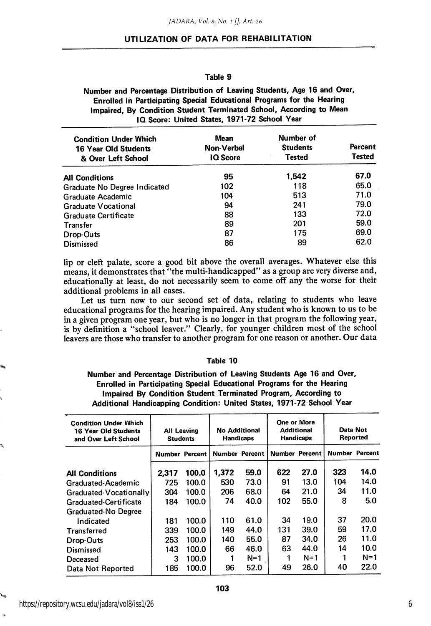#### Table 9

Number and Percentage Distribution of Leaving Students, Age 16 and Over, Enrolled in Participating Special Educational Programs for the Hearing Impaired, By Condition Student Terminated School, According to Mean IQ Score: United States, 1971-72 School Year

| <b>Condition Under Which</b><br><b>16 Year Old Students</b><br>& Over Left School | Mean<br>Non-Verbal<br><b>IQ</b> Score | Number of<br><b>Students</b><br><b>Tested</b> | <b>Percent</b><br><b>Tested</b> |
|-----------------------------------------------------------------------------------|---------------------------------------|-----------------------------------------------|---------------------------------|
| <b>All Conditions</b>                                                             | 95                                    | 1.542                                         | 67.0                            |
| Graduate No Degree Indicated                                                      | 102                                   | 118                                           | 65.0                            |
| Graduate Academic                                                                 | 104                                   | 513                                           | 71.0                            |
| Graduate Vocational                                                               | 94                                    | 241                                           | 79.0                            |
| <b>Graduate Certificate</b>                                                       | 88                                    | 133                                           | 72.0                            |
| Transfer                                                                          | 89                                    | 201                                           | 59.0                            |
| Drop-Outs                                                                         | 87                                    | 175                                           | 69.0                            |
| Dismissed                                                                         | 86                                    | 89                                            | 62.0                            |

lip or cleft palate, score a good bit above the overall averages. Whatever else this means, it demonstrates that "the multi-handicapped'' as a group are very diverse and, educationally at least, do not necessarily seem to come off any the worse for their additional problems in all cases.

Let us turn now to our second set of data, relating to students who leave educational programs for the hearing impaired. Any student who is known to us to be in a given program one year, but who is no longer in that program the following year, is by definition a "school leaver." Clearly, for younger children most of the school leavers are those who transfer to another program for one reason or another. Our data

#### Table 10

Number and Percentage Distribution of Leaving Students Age 16 and Over, Enrolled in Participating Special Educational Programs for the Hearing Impaired By Condition Student Terminated Program, According to Additional Handicapping Condition: United States, 1971-72 School Year

| <b>Condition Under Which</b><br><b>16 Year Old Students</b><br>and Over Left School | <b>All Leaving</b><br><b>Students</b> |       | <b>No Additional</b><br><b>Handicaps</b> |       | One or More<br><b>Additional</b><br><b>Handicaps</b> |                       | Data Not<br><b>Reported</b> |                       |
|-------------------------------------------------------------------------------------|---------------------------------------|-------|------------------------------------------|-------|------------------------------------------------------|-----------------------|-----------------------------|-----------------------|
|                                                                                     | <b>Number Percent</b>                 |       | Number Percent                           |       |                                                      | <b>Number Percent</b> |                             | <b>Number Percent</b> |
| <b>All Conditions</b>                                                               | 2,317                                 | 100.0 | 1.372                                    | 59.0  | 622                                                  | 27.0                  | 323                         | 14.0                  |
| Graduated-Academic                                                                  | 725                                   | 100.0 | 530                                      | 73.0  | 91                                                   | 13.0                  | 104                         | 14.0                  |
| Graduated-Vocationally                                                              | 304                                   | 100.0 | 206                                      | 68.0  | 64                                                   | 21.0                  | 34                          | 11.0                  |
| Graduated-Certificate                                                               | 184                                   | 100.0 | 74                                       | 40.0  | 102                                                  | 55.0                  | 8                           | 5.0                   |
| Graduated-No Degree                                                                 |                                       |       |                                          |       |                                                      |                       |                             |                       |
| Indicated                                                                           | 181                                   | 100.0 | 110                                      | 61.0  | 34                                                   | 19.0                  | 37                          | 20.0                  |
| <b>Transferred</b>                                                                  | 339                                   | 100.0 | 149                                      | 44.0  | 131                                                  | 39.0                  | 59                          | 17.0                  |
| Drop-Outs                                                                           | 253                                   | 100.0 | 140                                      | 55.0  | 87                                                   | 34.0                  | 26                          | 11.0                  |
| Dismissed                                                                           | 143                                   | 100.0 | 66                                       | 46.0  | 63                                                   | 44.0                  | 14                          | 10.0                  |
| Deceased                                                                            | 3                                     | 100.0 |                                          | $N=1$ |                                                      | $N=1$                 | 1                           | $N=1$                 |
| Data Not Reported                                                                   | 185                                   | 100.0 | 96                                       | 52.0  | 49                                                   | 26.0                  | 40                          | 22.0                  |